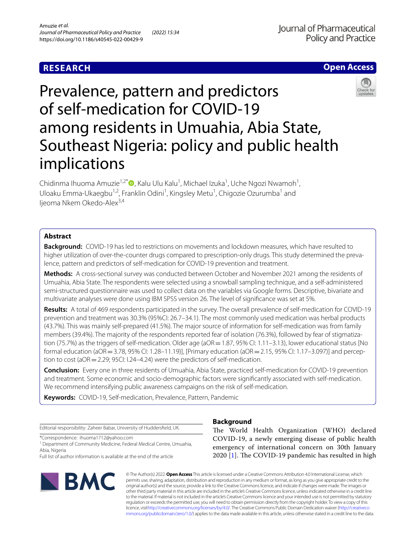# **RESEARCH**





# Prevalence, pattern and predictors of self-medication for COVID-19 among residents in Umuahia, Abia State, Southeast Nigeria: policy and public health implications

Chidinma Ihuoma Amuzie<sup>1,2[\\*](http://orcid.org/0000-0002-6070-1330)</sup>®, Kalu Ulu Kalu<sup>1</sup>, Michael Izuka<sup>1</sup>, Uche Ngozi Nwamoh<sup>1</sup>, Uloaku Emma-Ukaegbu<sup>1,2</sup>, Franklin Odini<sup>1</sup>, Kingsley Metu<sup>1</sup>, Chigozie Ozurumba<sup>1</sup> and lieoma Nkem Okedo-Alex<sup>3,4</sup>

# **Abstract**

**Background:** COVID-19 has led to restrictions on movements and lockdown measures, which have resulted to higher utilization of over-the-counter drugs compared to prescription-only drugs. This study determined the prevalence, pattern and predictors of self-medication for COVID-19 prevention and treatment.

**Methods:** A cross-sectional survey was conducted between October and November 2021 among the residents of Umuahia, Abia State. The respondents were selected using a snowball sampling technique, and a self-administered semi-structured questionnaire was used to collect data on the variables via Google forms. Descriptive, bivariate and multivariate analyses were done using IBM SPSS version 26. The level of signifcance was set at 5%.

**Results:** A total of 469 respondents participated in the survey. The overall prevalence of self-medication for COVID-19 prevention and treatment was 30.3% (95%CI: 26.7–34.1). The most commonly used medication was herbal products (43.7%). This was mainly self-prepared (41.5%). The major source of information for self-medication was from family members (39.4%). The majority of the respondents reported fear of isolation (76.3%), followed by fear of stigmatization (75.7%) as the triggers of self-medication. Older age (aOR = 1.87, 95% CI: 1.11–3.13), lower educational status [No formal education (aOR = 3.78, 95% CI: 1.28–11.19)], [Primary education (aOR = 2.15, 95% CI: 1.17–3.097)] and perception to cost (aOR = 2.29; 95CI: I.24–4.24) were the predictors of self-medication.

**Conclusion:** Every one in three residents of Umuahia, Abia State, practiced self-medication for COVID-19 prevention and treatment. Some economic and socio-demographic factors were signifcantly associated with self-medication. We recommend intensifying public awareness campaigns on the risk of self-medication.

**Keywords:** COVID-19, Self-medication, Prevalence, Pattern, Pandemic

Editorial responsibility: Zaheer Babar, University of Huddersfeld, UK.

\*Correspondence: ihuoma1712@yahoo.com

<sup>1</sup> Department of Community Medicine, Federal Medical Centre, Umuahia, Abia, Nigeria

Full list of author information is available at the end of the article



# **Background**

The World Health Organization (WHO) declared COVID-19, a newly emerging disease of public health emergency of international concern on 30th January  $2020$  [[1\]](#page-7-0). The COVID-19 pandemic has resulted in high

© The Author(s) 2022. **Open Access** This article is licensed under a Creative Commons Attribution 4.0 International License, which permits use, sharing, adaptation, distribution and reproduction in any medium or format, as long as you give appropriate credit to the original author(s) and the source, provide a link to the Creative Commons licence, and indicate if changes were made. The images or other third party material in this article are included in the article's Creative Commons licence, unless indicated otherwise in a credit line to the material. If material is not included in the article's Creative Commons licence and your intended use is not permitted by statutory regulation or exceeds the permitted use, you will need to obtain permission directly from the copyright holder. To view a copy of this licence, visi[thttp://creativecommons.org/licenses/by/4.0/](http://creativecommons.org/licenses/by/4.0/). The Creative Commons Public Domain Dedication waiver [\(http://creativeco](http://creativecommons.org/publicdomain/zero/1.0/) [mmons.org/publicdomain/zero/1.0/](http://creativecommons.org/publicdomain/zero/1.0/)) applies to the data made available in this article, unless otherwise stated in a credit line to the data.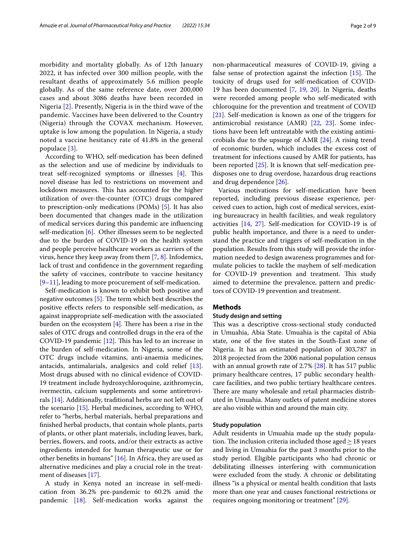morbidity and mortality globally. As of 12th January 2022, it has infected over 300 million people, with the resultant deaths of approximately 5.6 million people globally. As of the same reference date, over 200,000 cases and about 3086 deaths have been recorded in Nigeria [[2\]](#page-7-1). Presently, Nigeria is in the third wave of the pandemic. Vaccines have been delivered to the Country (Nigeria) through the COVAX mechanism. However, uptake is low among the population. In Nigeria, a study noted a vaccine hesitancy rate of 41.8% in the general populace [[3\]](#page-7-2).

According to WHO, self-medication has been defned as the selection and use of medicine by individuals to treat self-recognized symptoms or illnesses  $[4]$  $[4]$ . This novel disease has led to restrictions on movement and lockdown measures. This has accounted for the higher utilization of over-the-counter (OTC) drugs compared to prescription-only medications (POMs) [[5\]](#page-7-4). It has also been documented that changes made in the utilization of medical services during this pandemic are infuencing self-medication [[6\]](#page-7-5). Other illnesses seem to be neglected due to the burden of COVID-19 on the health system and people perceive healthcare workers as carriers of the virus, hence they keep away from them [\[7](#page-7-6), [8\]](#page-7-7). Infodemics, lack of trust and confdence in the government regarding the safety of vaccines, contribute to vaccine hesitancy [[9–](#page-7-8)[11\]](#page-7-9), leading to more procurement of self-medication.

Self-medication is known to exhibit both positive and negative outcomes  $[5]$  $[5]$ . The term which best describes the positive efects refers to responsible self-medication, as against inappropriate self-medication with the associated burden on the ecosystem  $[4]$  $[4]$ . There has been a rise in the sales of OTC drugs and controlled drugs in the era of the COVID-19 pandemic  $[12]$  $[12]$ . This has led to an increase in the burden of self-medication. In Nigeria, some of the OTC drugs include vitamins, anti-anaemia medicines, antacids, antimalarials, analgesics and cold relief [\[13](#page-7-11)]. Most drugs abused with no clinical evidence of COVID-19 treatment include hydroxychloroquine, azithromycin, ivermectin, calcium supplements and some antiretrovirals [[14\]](#page-7-12). Additionally, traditional herbs are not left out of the scenario [[15\]](#page-7-13). Herbal medicines, according to WHO, refer to "herbs, herbal materials, herbal preparations and fnished herbal products, that contain whole plants, parts of plants, or other plant materials, including leaves, bark, berries, fowers, and roots, and/or their extracts as active ingredients intended for human therapeutic use or for other benefts in humans" [\[16](#page-7-14)]. In Africa, they are used as alternative medicines and play a crucial role in the treatment of diseases [\[17](#page-7-15)].

A study in Kenya noted an increase in self-medication from 36.2% pre-pandemic to 60.2% amid the pandemic [[18\]](#page-7-16). Self-medication works against the non-pharmaceutical measures of COVID-19, giving a false sense of protection against the infection  $[15]$ . The toxicity of drugs used for self-medication of COVID-19 has been documented [[7](#page-7-6), [19](#page-7-17), [20](#page-7-18)]. In Nigeria, deaths were recorded among people who self-medicated with chloroquine for the prevention and treatment of COVID [[21\]](#page-7-19). Self-medication is known as one of the triggers for antimicrobial resistance (AMR) [\[22](#page-7-20), [23\]](#page-7-21). Some infections have been left untreatable with the existing antimicrobials due to the upsurge of AMR [[24](#page-7-22)]. A rising trend of economic burden, which includes the excess cost of treatment for infections caused by AMR for patients, has been reported [[25\]](#page-7-23). It is known that self-medication predisposes one to drug overdose, hazardous drug reactions and drug dependence [\[26](#page-7-24)].

Various motivations for self-medication have been reported, including previous disease experience, perceived cues to action, high cost of medical services, existing bureaucracy in health facilities, and weak regulatory activities [[14](#page-7-12), [27\]](#page-7-25). Self-medication for COVID-19 is of public health importance, and there is a need to understand the practice and triggers of self-medication in the population. Results from this study will provide the information needed to design awareness programmes and formulate policies to tackle the mayhem of self-medication for COVID-19 prevention and treatment. This study aimed to determine the prevalence, pattern and predictors of COVID-19 prevention and treatment.

# **Methods**

### **Study design and setting**

This was a descriptive cross-sectional study conducted in Umuahia, Abia State. Umuahia is the capital of Abia state, one of the fve states in the South-East zone of Nigeria. It has an estimated population of 303,787 in 2018 projected from the 2006 national population census with an annual growth rate of 2.7% [\[28\]](#page-7-26). It has 517 public primary healthcare centres, 17 public secondary healthcare facilities, and two public tertiary healthcare centres. There are many wholesale and retail pharmacies distributed in Umuahia. Many outlets of patent medicine stores are also visible within and around the main city.

# **Study population**

Adult residents in Umuahia made up the study population. The inclusion criteria included those aged  $\geq$  18 years and living in Umuahia for the past 3 months prior to the study period. Eligible participants who had chronic or debilitating illnesses interfering with communication were excluded from the study. A chronic or debilitating illness "is a physical or mental health condition that lasts more than one year and causes functional restrictions or requires ongoing monitoring or treatment" [[29](#page-7-27)].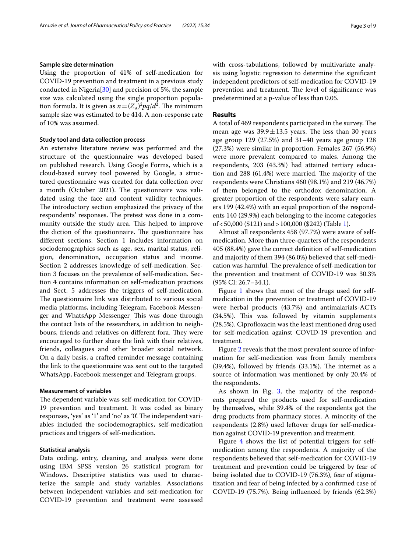## **Sample size determination**

Using the proportion of 41% of self-medication for COVID-19 prevention and treatment in a previous study conducted in Nigeria<sup>[\[30](#page-7-28)]</sup> and precision of 5%, the sample size was calculated using the single proportion population formula. It is given as  $n = (Z_A)^2 pq/d^2$ . The minimum sample size was estimated to be 414. A non-response rate of 10% was assumed.

# **Study tool and data collection process**

An extensive literature review was performed and the structure of the questionnaire was developed based on published research. Using Google Forms, which is a cloud-based survey tool powered by Google, a structured questionnaire was created for data collection over a month (October 2021). The questionnaire was validated using the face and content validity techniques. The introductory section emphasized the privacy of the respondents' responses. The pretest was done in a community outside the study area. This helped to improve the diction of the questionnaire. The questionnaire has diferent sections. Section 1 includes information on sociodemographics such as age, sex, marital status, religion, denomination, occupation status and income. Section 2 addresses knowledge of self-medication. Section 3 focuses on the prevalence of self-medication. Section 4 contains information on self-medication practices and Sect. 5 addresses the triggers of self-medication. The questionnaire link was distributed to various social media platforms, including Telegram, Facebook Messenger and WhatsApp Messenger. Tis was done through the contact lists of the researchers, in addition to neighbours, friends and relatives on different fora. They were encouraged to further share the link with their relatives, friends, colleagues and other broader social network. On a daily basis, a crafted reminder message containing the link to the questionnaire was sent out to the targeted WhatsApp, Facebook messenger and Telegram groups.

## **Measurement of variables**

The dependent variable was self-medication for COVID-19 prevention and treatment. It was coded as binary responses, 'yes' as '1' and 'no' as '0'. The independent variables included the sociodemographics, self-medication practices and triggers of self-medication.

### **Statistical analysis**

Data coding, entry, cleaning, and analysis were done using IBM SPSS version 26 statistical program for Windows. Descriptive statistics was used to characterize the sample and study variables. Associations between independent variables and self-medication for COVID-19 prevention and treatment were assessed with cross-tabulations, followed by multivariate analysis using logistic regression to determine the signifcant independent predictors of self-medication for COVID-19 prevention and treatment. The level of significance was predetermined at a p-value of less than 0.05.

## **Results**

A total of 469 respondents participated in the survey. The mean age was  $39.9 \pm 13.5$  years. The less than 30 years age group 129 (27.5%) and 31–40 years age group 128 (27.3%) were similar in proportion. Females 267 (56.9%) were more prevalent compared to males. Among the respondents, 203 (43.3%) had attained tertiary education and  $288$  (61.4%) were married. The majority of the respondents were Christians 460 (98.1%) and 219 (46.7%) of them belonged to the orthodox denomination. A greater proportion of the respondents were salary earners 199 (42.4%) with an equal proportion of the respondents 140 (29.9%) each belonging to the income categories of<50,000 (\$121) and>100,000 (\$242) (Table [1](#page-3-0)).

Almost all respondents 458 (97.7%) were aware of selfmedication. More than three-quarters of the respondents 405 (88.4%) gave the correct defnition of self-medication and majority of them 394 (86.0%) believed that self-medication was harmful. The prevalence of self-medication for the prevention and treatment of COVID-19 was 30.3% (95% CI: 26.7–34.1).

Figure [1](#page-3-1) shows that most of the drugs used for selfmedication in the prevention or treatment of COVID-19 were herbal products (43.7%) and antimalarials-ACTs  $(34.5\%)$ . This was followed by vitamin supplements (28.5%). Ciprofloxacin was the least mentioned drug used for self-medication against COVID-19 prevention and treatment.

Figure [2](#page-3-2) reveals that the most prevalent source of information for self-medication was from family members  $(39.4%)$ , followed by friends  $(33.1%)$ . The internet as a source of information was mentioned by only 20.4% of the respondents.

As shown in Fig. [3,](#page-3-3) the majority of the respondents prepared the products used for self-medication by themselves, while 39.4% of the respondents got the drug products from pharmacy stores. A minority of the respondents (2.8%) used leftover drugs for self-medication against COVID-19 prevention and treatment.

Figure [4](#page-4-0) shows the list of potential triggers for selfmedication among the respondents. A majority of the respondents believed that self-medication for COVID-19 treatment and prevention could be triggered by fear of being isolated due to COVID-19 (76.3%), fear of stigmatization and fear of being infected by a confrmed case of COVID-19 (75.7%). Being infuenced by friends (62.3%)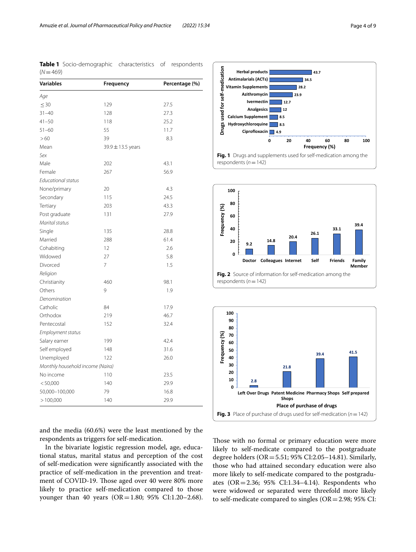<span id="page-3-0"></span>**Table 1** Socio-demographic characteristics of respondents  $(N=469)$ 

| Age<br>$\leq 30$<br>129<br>27.5<br>$31 - 40$<br>27.3<br>128<br>$41 - 50$<br>25.2<br>118<br>55<br>$51 - 60$<br>11.7<br>>60<br>39<br>8.3<br>Mean<br>39.9 ± 13.5 years<br>Sex<br>Male<br>202<br>43.1<br>Female<br>267<br>56.9<br><b>Educational status</b> |  |
|---------------------------------------------------------------------------------------------------------------------------------------------------------------------------------------------------------------------------------------------------------|--|
|                                                                                                                                                                                                                                                         |  |
|                                                                                                                                                                                                                                                         |  |
|                                                                                                                                                                                                                                                         |  |
|                                                                                                                                                                                                                                                         |  |
|                                                                                                                                                                                                                                                         |  |
|                                                                                                                                                                                                                                                         |  |
|                                                                                                                                                                                                                                                         |  |
|                                                                                                                                                                                                                                                         |  |
|                                                                                                                                                                                                                                                         |  |
|                                                                                                                                                                                                                                                         |  |
|                                                                                                                                                                                                                                                         |  |
| None/primary<br>20<br>4.3                                                                                                                                                                                                                               |  |
| 24.5<br>Secondary<br>115                                                                                                                                                                                                                                |  |
| Tertiary<br>203<br>43.3                                                                                                                                                                                                                                 |  |
| Post graduate<br>131<br>27.9                                                                                                                                                                                                                            |  |
| Marital status                                                                                                                                                                                                                                          |  |
| 135<br>28.8<br>Single                                                                                                                                                                                                                                   |  |
| 288<br>61.4<br>Married                                                                                                                                                                                                                                  |  |
| 12<br>2.6<br>Cohabiting                                                                                                                                                                                                                                 |  |
| Widowed<br>27<br>5.8                                                                                                                                                                                                                                    |  |
| 7<br>Divorced<br>1.5                                                                                                                                                                                                                                    |  |
| Religion                                                                                                                                                                                                                                                |  |
| Christianity<br>460<br>98.1                                                                                                                                                                                                                             |  |
| 9<br>Others<br>1.9                                                                                                                                                                                                                                      |  |
| Denomination                                                                                                                                                                                                                                            |  |
| Catholic<br>84<br>17.9                                                                                                                                                                                                                                  |  |
| Orthodox<br>219<br>46.7                                                                                                                                                                                                                                 |  |
| 152<br>32.4<br>Pentecostal                                                                                                                                                                                                                              |  |
| Employment status                                                                                                                                                                                                                                       |  |
| 42.4<br>Salary earner<br>199                                                                                                                                                                                                                            |  |
| 31.6<br>Self employed<br>148                                                                                                                                                                                                                            |  |
| 26.0<br>Unemployed<br>122                                                                                                                                                                                                                               |  |
| Monthly household income (Naira)                                                                                                                                                                                                                        |  |
| No income<br>110<br>23.5                                                                                                                                                                                                                                |  |
| < 50,000<br>140<br>29.9                                                                                                                                                                                                                                 |  |
| 50,000-100,000<br>79<br>16.8                                                                                                                                                                                                                            |  |
| >100,000<br>140<br>29.9                                                                                                                                                                                                                                 |  |



<span id="page-3-1"></span>

<span id="page-3-2"></span>

and the media (60.6%) were the least mentioned by the respondents as triggers for self-medication.

In the bivariate logistic regression model, age, educational status, marital status and perception of the cost of self-medication were signifcantly associated with the practice of self-medication in the prevention and treatment of COVID-19. Those aged over 40 were 80% more likely to practice self-medication compared to those younger than 40 years (OR=1.80; 95% CI:1.20-2.68). <span id="page-3-3"></span>Those with no formal or primary education were more likely to self-medicate compared to the postgraduate degree holders ( $OR = 5.51$ ; 95% CI:2.05–14.81). Similarly, those who had attained secondary education were also more likely to self-medicate compared to the postgraduates (OR=2.36; 95% CI:1.34–4.14). Respondents who were widowed or separated were threefold more likely to self-medicate compared to singles  $(OR = 2.98; 95\% \text{ CI}:$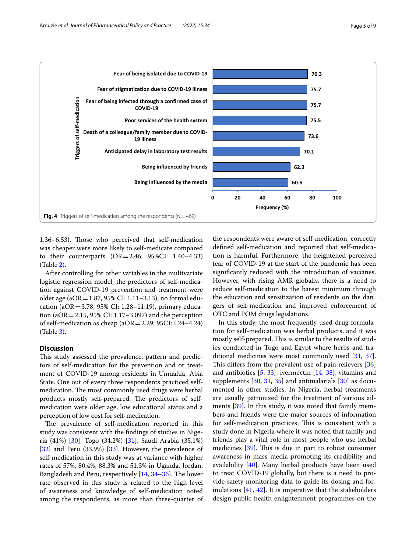

<span id="page-4-0"></span>1.36–6.53). Those who perceived that self-medication was cheaper were more likely to self-medicate compared to their counterparts  $(OR = 2.46; 95\% CI: 1.40-4.33)$ (Table [2](#page-5-0)).

After controlling for other variables in the multivariate logistic regression model, the predictors of self-medication against COVID-19 prevention and treatment were older age (aOR=1.87, 95% CI: 1.11–3.13), no formal education ( $aOR = 3.78$ , 95% CI: 1.28–11.19), primary education ( $aOR = 2.15$ , 95% CI: 1.17–3.097) and the perception of self-medication as cheap ( $aOR = 2.29$ ; 95CI: I.24–4.24) (Table [3](#page-5-1)).

# **Discussion**

This study assessed the prevalence, pattern and predictors of self-medication for the prevention and or treatment of COVID-19 among residents in Umuahia, Abia State. One out of every three respondents practiced selfmedication. The most commonly used drugs were herbal products mostly self-prepared. The predictors of selfmedication were older age, low educational status and a perception of low cost for self-medication.

The prevalence of self-medication reported in this study was consistent with the fndings of studies in Nigeria (41%) [[30\]](#page-7-28), Togo (34.2%) [\[31\]](#page-7-29), Saudi Arabia (35.1%) [[32\]](#page-7-30) and Peru (33.9%) [\[33\]](#page-7-31). However, the prevalence of self-medication in this study was at variance with higher rates of 57%, 80.4%, 88.3% and 51.3% in Uganda, Jordan, Bangladesh and Peru, respectively  $[14, 34-36]$  $[14, 34-36]$  $[14, 34-36]$  $[14, 34-36]$  $[14, 34-36]$  $[14, 34-36]$ . The lower rate observed in this study is related to the high level of awareness and knowledge of self-medication noted among the respondents, as more than three-quarter of

the respondents were aware of self-medication, correctly defned self-medication and reported that self-medication is harmful. Furthermore, the heightened perceived fear of COVID-19 at the start of the pandemic has been signifcantly reduced with the introduction of vaccines. However, with rising AMR globally, there is a need to reduce self-medication to the barest minimum through the education and sensitization of residents on the dangers of self-medication and improved enforcement of OTC and POM drugs legislations.

In this study, the most frequently used drug formulation for self-medication was herbal products, and it was mostly self-prepared. This is similar to the results of studies conducted in Togo and Egypt where herbs and traditional medicines were most commonly used [\[31](#page-7-29), [37](#page-7-34)]. This differs from the prevalent use of pain relievers  $[36]$  $[36]$  $[36]$ and antibiotics  $[5, 33]$  $[5, 33]$  $[5, 33]$  $[5, 33]$ , ivermectin  $[14, 38]$  $[14, 38]$  $[14, 38]$  $[14, 38]$ , vitamins and supplements [[30,](#page-7-28) [31,](#page-7-29) [35](#page-7-36)] and antimalarials [[30\]](#page-7-28) as documented in other studies. In Nigeria, herbal treatments are usually patronized for the treatment of various ailments [\[39](#page-7-37)]. In this study, it was noted that family members and friends were the major sources of information for self-medication practices. This is consistent with a study done in Nigeria where it was noted that family and friends play a vital role in most people who use herbal medicines  $[39]$  $[39]$ . This is due in part to robust consumer awareness in mass media promoting its credibility and availability  $[40]$  $[40]$ . Many herbal products have been used to treat COVID-19 globally, but there is a need to provide safety monitoring data to guide its dosing and formulations [[41,](#page-7-39) [42\]](#page-7-40). It is imperative that the stakeholders design public health enlightenment programmes on the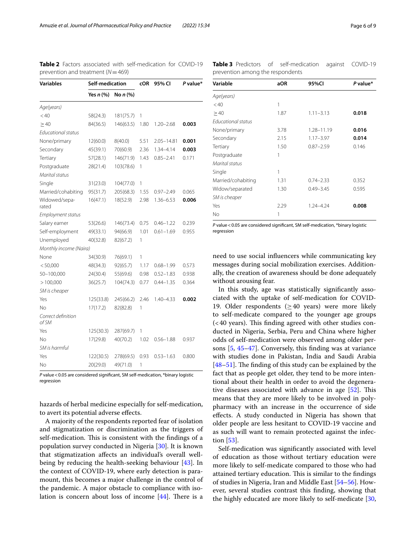| <b>Variables</b>            | Self-medication |           | cOR  | 95% CI        | P value* |  |
|-----------------------------|-----------------|-----------|------|---------------|----------|--|
|                             | Yes $n$ (%)     | No n (%)  |      |               |          |  |
| Age(years)                  |                 |           |      |               |          |  |
| < 40                        | 58(24.3)        | 181(75.7) | 1    |               |          |  |
| $\geq 40$                   | 84(36.5)        | 146(63.5) | 1.80 | $1.20 - 2.68$ | 0.003    |  |
| Educational status          |                 |           |      |               |          |  |
| None/primary                | 12(60.0)        | 8(40.0)   | 5.51 | 2.05-14.81    | 0.001    |  |
| Secondary                   | 45(39.1)        | 70(60.9)  | 2.36 | $1.34 - 4.14$ | 0.003    |  |
| Tertiary                    | 57(28.1)        | 146(71.9) | 1.43 | $0.85 - 2.41$ | 0.171    |  |
| Postgraduate                | 28(21.4)        | 103(78.6) | 1    |               |          |  |
| Marital status              |                 |           |      |               |          |  |
| Single                      | 31(23.0)        | 104(77.0) | 1    |               |          |  |
| Married/cohabiting          | 95(31.7)        | 205(68.3) | 1.55 | $0.97 - 2.49$ | 0.065    |  |
| Widowed/sepa-<br>rated      | 16(47.1)        | 18(52.9)  | 2.98 | $1.36 - 6.53$ | 0.006    |  |
| Employment status           |                 |           |      |               |          |  |
| Salary earner               | 53(26.6)        | 146(73.4) | 0.75 | $0.46 - 1.22$ | 0.239    |  |
| Self-employment             | 49(33.1)        | 94(66.9)  | 1.01 | $0.61 - 1.69$ | 0.955    |  |
| Unemployed                  | 40(32.8)        | 82(67.2)  | 1    |               |          |  |
| Monthly income (Naira)      |                 |           |      |               |          |  |
| None                        | 34(30.9)        | 76(69.1)  | 1    |               |          |  |
| < 50,000                    | 48(34.3)        | 92(65.7)  | 1.17 | $0.68 - 1.99$ | 0.573    |  |
| 50-100,000                  | 24(30.4)        | 55(69.6)  | 0.98 | $0.52 - 1.83$ | 0.938    |  |
| >100,000                    | 36(25.7)        | 104(74.3) | 0.77 | $0.44 - 1.35$ | 0.364    |  |
| SM is cheaper               |                 |           |      |               |          |  |
| Yes                         | 125(33.8)       | 245(66.2) | 2.46 | $1.40 - 4.33$ | 0.002    |  |
| No                          | 17(17.2)        | 82(82.8)  | 1    |               |          |  |
| Correct definition<br>of SM |                 |           |      |               |          |  |
| Yes                         | 125(30.3)       | 287(69.7) | 1    |               |          |  |
| No                          | 17(29.8)        | 40(70.2)  | 1.02 | $0.56 - 1.88$ | 0.937    |  |
| SM is harmful               |                 |           |      |               |          |  |
| Yes                         | 122(30.5)       | 278(69.5) | 0.93 | $0.53 - 1.63$ | 0.800    |  |
| No                          | 20(29.0)        | 49(71.0)  | 1    |               |          |  |

<span id="page-5-0"></span>**Table 2** Factors associated with self-medication for COVID-19 prevention and treatment (*N*=469)

*P* value<0.05 are considered signifcant, SM self-medication, \*binary logistic regression

hazards of herbal medicine especially for self-medication, to avert its potential adverse efects.

A majority of the respondents reported fear of isolation and stigmatization or discrimination as the triggers of self-medication. This is consistent with the findings of a population survey conducted in Nigeria [\[30](#page-7-28)]. It is known that stigmatization afects an individual's overall wellbeing by reducing the health-seeking behaviour [\[43\]](#page-7-41). In the context of COVID-19, where early detection is paramount, this becomes a major challenge in the control of the pandemic. A major obstacle to compliance with isolation is concern about loss of income  $[44]$  $[44]$  $[44]$ . There is a

<span id="page-5-1"></span>**Table 3** Predictors of self-medication against COVID-19 prevention among the respondents

| Variable           | aOR  | 95%CI         | P value* |
|--------------------|------|---------------|----------|
| Age(years)         |      |               |          |
| < 40               | 1    |               |          |
| >40                | 1.87 | $1.11 - 3.13$ | 0.018    |
| Educational status |      |               |          |
| None/primary       | 3.78 | 1.28-11.19    | 0.016    |
| Secondary          | 2.15 | $1.17 - 3.97$ | 0.014    |
| Tertiary           | 1.50 | $0.87 - 2.59$ | 0.146    |
| Postgraduate       | 1    |               |          |
| Marital status     |      |               |          |
| Single             | 1    |               |          |
| Married/cohabiting | 1.31 | $0.74 - 2.33$ | 0.352    |
| Widow/separated    | 1.30 | $0.49 - 3.45$ | 0.595    |
| SM is cheaper      |      |               |          |
| Yes                | 2.29 | $1.24 - 4.24$ | 0.008    |
| No                 | 1    |               |          |

*P* value < 0.05 are considered significant, SM self-medication, \*binary logistic regression

need to use social infuencers while communicating key messages during social mobilization exercises. Additionally, the creation of awareness should be done adequately without arousing fear.

In this study, age was statistically signifcantly associated with the uptake of self-medication for COVID-19. Older respondents ( $\geq$  40 years) were more likely to self-medicate compared to the younger age groups  $\approx$  40 years). This finding agreed with other studies conducted in Nigeria, Serbia, Peru and China where higher odds of self-medication were observed among older persons [\[5](#page-7-4), [45–](#page-7-43)[47](#page-8-0)]. Conversely, this fnding was at variance with studies done in Pakistan, India and Saudi Arabia  $[48-51]$  $[48-51]$ . The finding of this study can be explained by the fact that as people get older, they tend to be more intentional about their health in order to avoid the degenerative diseases associated with advance in age  $[52]$  $[52]$  $[52]$ . This means that they are more likely to be involved in polypharmacy with an increase in the occurrence of side efects. A study conducted in Nigeria has shown that older people are less hesitant to COVID-19 vaccine and as such will want to remain protected against the infection [[53\]](#page-8-4).

Self-medication was signifcantly associated with level of education as those without tertiary education were more likely to self-medicate compared to those who had attained tertiary education. This is similar to the findings of studies in Nigeria, Iran and Middle East [\[54–](#page-8-5)[56\]](#page-8-6). However, several studies contrast this fnding, showing that the highly educated are more likely to self-medicate [[30](#page-7-28),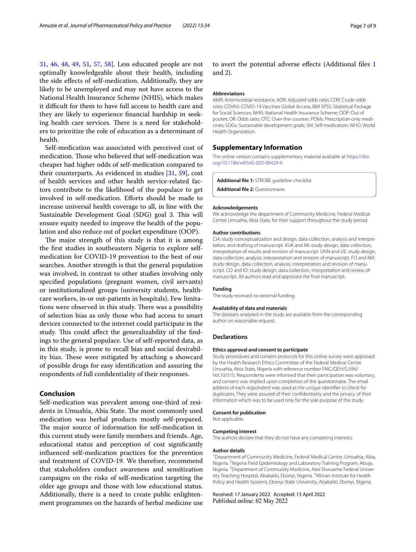[31,](#page-7-29) [46](#page-8-7), [48](#page-8-1), [49,](#page-8-8) [51](#page-8-2), [57,](#page-8-9) [58](#page-8-10)]. Less educated people are not optimally knowledgeable about their health, including the side efects of self-medication. Additionally, they are likely to be unemployed and may not have access to the National Health Insurance Scheme (NHIS), which makes it difficult for them to have full access to health care and they are likely to experience fnancial hardship in seeking health care services. There is a need for stakeholders to prioritize the role of education as a determinant of health.

Self-medication was associated with perceived cost of medication. Those who believed that self-medication was cheaper had higher odds of self-medication compared to their counterparts. As evidenced in studies [[31,](#page-7-29) [59\]](#page-8-11), cost of health services and other health service-related factors contribute to the likelihood of the populace to get involved in self-medication. Eforts should be made to increase universal health coverage to all, in line with the Sustainable Development Goal (SDG) goal 3. This will ensure equity needed to improve the health of the population and also reduce out of pocket expenditure (OOP).

The major strength of this study is that it is among the frst studies in southeastern Nigeria to explore selfmedication for COVID-19 prevention to the best of our searches. Another strength is that the general population was involved, in contrast to other studies involving only specifed populations (pregnant women, civil servants) or institutionalized groups (university students, healthcare workers, in-or out-patients in hospitals). Few limitations were observed in this study. There was a possibility of selection bias as only those who had access to smart devices connected to the internet could participate in the study. This could affect the generalizability of the findings to the general populace. Use of self-reported data, as in this study, is prone to recall bias and social desirability bias. These were mitigated by attaching a showcard of possible drugs for easy identifcation and assuring the respondents of full confdentiality of their responses.

#### **Conclusion**

Self-medication was prevalent among one-third of residents in Umuahia, Abia State. The most commonly used medication was herbal products mostly self-prepared. The major source of information for self-medication in this current study were family members and friends. Age, educational status and perception of cost signifcantly infuenced self-medication practices for the prevention and treatment of COVID-19. We therefore, recommend that stakeholders conduct awareness and sensitization campaigns on the risks of self-medication targeting the older age groups and those with low educational status. Additionally, there is a need to create public enlightenment programmes on the hazards of herbal medicine use

to avert the potential adverse efects (Additional fles [1](#page-6-0) and [2](#page-6-1)).

#### **Abbreviations**

AMR: Antimicrobial resistance; AOR: Adjusted odds ratio; COR: Crude odds ratio; COVAX: COVID-19 Vaccines Global Access; IBM SPSS: Statistical Package for Social Sciences; NHIS: National Health Insurance Scheme; OOP: Out of pocket; OR: Odds ratio; OTC: Over-the-counter; POMs: Prescription-only medicines; SDGs: Sustainable development goals; SM: Self-medication; WHO: World Health Organization.

# **Supplementary Information**

The online version contains supplementary material available at [https://doi.](https://doi.org/10.1186/s40545-022-00429-9) [org/10.1186/s40545-022-00429-9](https://doi.org/10.1186/s40545-022-00429-9).

<span id="page-6-1"></span><span id="page-6-0"></span>**Additional fle 1:** STROBE guideline checklist.

**Additional fle 2:** Questionnaire.

#### **Acknowledgements**

We acknowledge the department of Community Medicine, Federal Medical Centre Umuahia, Abia State, for their support throughout the study period.

#### **Author contributions**

CIA: study conceptualization and design, data collection, analysis and interpretation, and drafting of manuscript. KUK and MI: study design, data collection, interpretation of results and revision of manuscript. UNN and UE: study design, data collection, analysis, interpretation and revision of manuscript. FO and KM: study design, data collection, analysis, interpretation and revision of manuscript. CO and IO: study design, data collection, interpretation and review of manuscript. All authors read and approved the fnal manuscript.

#### **Funding**

The study received no external funding.

#### **Availability of data and materials**

The datasets analyzed in the study are available from the corresponding author on reasonable request.

## **Declarations**

#### **Ethics approval and consent to participate**

Study procedures and consent protocols for this online survey were approved by the Health Research Ethics Committee of the Federal Medical Centre Umuahia, Abia State, Nigeria with reference number FMC/QEH/G.596/ Vol.10/515. Respondents were informed that their participation was voluntary, and consent was implied upon completion of the questionnaire. The email address of each respondent was used as the unique identifer to check for duplicates. They were assured of their confdentiality and the privacy of their information which was to be used only for the sole purpose of the study.

#### **Consent for publication**

Not applicable.

#### **Competing interest**

The authors declare that they do not have any competing interests.

#### **Author details**

<sup>1</sup> Department of Community Medicine, Federal Medical Centre, Umuahia, Abia, Nigeria. 2 Nigeria Field Epidemiology and Laboratory Training Program, Abuja, Nigeria.<sup>3</sup> Department of Community Medicine, Alex Ekwueme Federal University Teaching Hospital, Abakaliki, Ebonyi, Nigeria. <sup>4</sup> African Institute for Health Policy and Health Systems, Ebonyi State University, Abakaliki, Ebonyi, Nigeria.

Received: 17 January 2022 Accepted: 13 April 2022Published online: 02 May 2022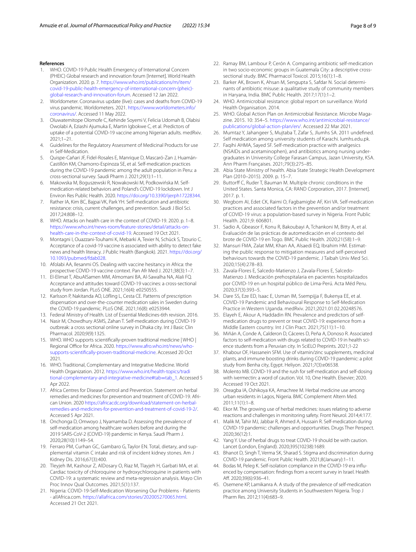#### **References**

- <span id="page-7-0"></span>1. WHO. COVID-19 Public Health Emergency of International Concern (PHEIC) Global research and innovation forum [Internet]. World Health Organization. 2020. p. 7. [https://www.who.int/publications/m/item/](https://www.who.int/publications/m/item/covid-19-public-health-emergency-of-international-concern-(pheic)-global-research-and-innovation-forum) [covid-19-public-health-emergency-of-international-concern-\(pheic\)](https://www.who.int/publications/m/item/covid-19-public-health-emergency-of-international-concern-(pheic)-global-research-and-innovation-forum) [global-research-and-innovation-forum](https://www.who.int/publications/m/item/covid-19-public-health-emergency-of-international-concern-(pheic)-global-research-and-innovation-forum). Accessed 12 Jan 2022.
- <span id="page-7-1"></span>2. Worldometer. Coronavirus update (live): cases and deaths from COVID-19 virus pandemic. Worldometers. 2021. [https://www.worldometers.info/](https://www.worldometers.info/coronavirus/) [coronavirus/](https://www.worldometers.info/coronavirus/). Accessed 11 May 2022.
- <span id="page-7-2"></span>3. Oluwatemitope Olomofe C, Kehinde Soyemi V, Felicia Udomah B, Olabisi Owolabi A, Eziashi Ajumuka E, Martin Igbokwe C, et al. Predictors of uptake of a potential COVID-19 vaccine among Nigerian adults. medRxiv. 2021;1–21.
- <span id="page-7-3"></span>4. Guidelines for the Regulatory Assessment of Medicinal Products for use in Self-Medication.
- <span id="page-7-4"></span>5. Quispe-Cañari JF, Fidel-Rosales E, Manrique D, Mascaró-Zan J, Huamán-Castillón KM, Chamorro-Espinoza SE, et al. Self-medication practices during the COVID-19 pandemic among the adult population in Peru: a cross-sectional survey. Saudi Pharm J. 2021;29(1):1–11.
- <span id="page-7-5"></span>6. Makowska M, Boguszewski R, Nowakowski M, Podkowińska M. Selfmedication-related behaviors and Poland's COVID-19 lockdown. Int J Environ Res Public Health. 2020. <https://doi.org/10.3390/ijerph17228344>.
- <span id="page-7-6"></span>7. Rather IA, Kim BC, Bajpai VK, Park YH. Self-medication and antibiotic resistance: crisis, current challenges, and prevention. Saudi J Biol Sci. 2017;24:808–12.
- <span id="page-7-7"></span>8. WHO. Attacks on health care in the context of COVID-19. 2020. p. 1–8. [https://www.who.int/news-room/feature-stories/detail/attacks-on](https://www.who.int/news-room/feature-stories/detail/attacks-on-health-care-in-the-context-of-covid-19) [health-care-in-the-context-of-covid-19.](https://www.who.int/news-room/feature-stories/detail/attacks-on-health-care-in-the-context-of-covid-19) Accessed 19 Oct 2021.
- <span id="page-7-8"></span>9. Montagni I, Ouazzani-Touhami K, Mebarki A, Texier N, Schück S, Tzourio C. Acceptance of a covid-19 vaccine is associated with ability to detect fake news and health literacy. J Public Health (Bangkok). 2021. [https://doi.org/](https://doi.org/10.1093/pubmed/fdab028) [10.1093/pubmed/fdab028.](https://doi.org/10.1093/pubmed/fdab028)
- 10. Afolabi AA, Ilesanmi OS. Dealing with vaccine hesitancy in Africa: the prospective COVID-19 vaccine context. Pan Afr Med J. 2021;38(3):1–7.
- <span id="page-7-9"></span>11. El-Elimat T, AbuAlSamen MM, Almomani BA, Al-Sawalha NA, Alali FQ. Acceptance and attitudes toward COVID-19 vaccines: a cross-sectional study from Jordan. PLoS ONE. 2021;16(4): e0250555.
- <span id="page-7-10"></span>12. Karlsson P, Nakitanda AO, Löfing L, Cesta CE. Patterns of prescription dispensation and over-the-counter medication sales in Sweden during the COVID-19 pandemic. PLoS ONE. 2021;16(8): e0253944.
- <span id="page-7-11"></span>13. Federal Ministry of Health. List of Essential Medicines-6th revision. 2016.
- <span id="page-7-12"></span>14. Nasir M, Chowdhury ASMS, Zahan T. Self-medication during COVID-19 outbreak: a cross sectional online survey in Dhaka city. Int J Basic Clin Pharmacol. 2020;9(9):1325.
- <span id="page-7-13"></span>15. WHO. WHO supports scientifcally-proven traditional medicine | WHO | Regional Office for Africa. 2020. [https://www.afro.who.int/news/who](https://www.afro.who.int/news/who-supports-scientifically-proven-traditional-medicine) [supports-scientifcally-proven-traditional-medicine.](https://www.afro.who.int/news/who-supports-scientifically-proven-traditional-medicine) Accessed 20 Oct 2021.
- <span id="page-7-14"></span>16. WHO. Traditional, Complementary and Integrative Medicine. World Health Organization. 2012. [https://www.who.int/health-topics/tradi](https://www.who.int/health-topics/traditional-complementary-and-integrative-medicine#tab=tab_1) [tional-complementary-and-integrative-medicine#tab](https://www.who.int/health-topics/traditional-complementary-and-integrative-medicine#tab=tab_1)=tab\_1. Accessed 5 Apr 2022.
- <span id="page-7-15"></span>17. Africa Centres for Disease Control and Prevention. Statement on herbal remedies and medicines for prevention and treatment of COVID-19. African Union. 2020 [https://africacdc.org/download/statement-on-herbal](https://africacdc.org/download/statement-on-herbal-remedies-and-medicines-for-prevention-and-treatment-of-covid-19-2/) [remedies-and-medicines-for-prevention-and-treatment-of-covid-19-2/](https://africacdc.org/download/statement-on-herbal-remedies-and-medicines-for-prevention-and-treatment-of-covid-19-2/). Accessed 5 Apr 2021.
- <span id="page-7-16"></span>18. Onchonga D, Omwoyo J, Nyamamba D. Assessing the prevalence of self-medication among healthcare workers before and during the 2019 SARS-CoV-2 (COVID-19) pandemic in Kenya. Saudi Pharm J. 2020;28(10):1149–54.
- <span id="page-7-17"></span>19. Ferraro PM, Curhan GC, Gambaro G, Taylor EN. Total, dietary, and supplemental vitamin C intake and risk of incident kidney stones. Am J Kidney Dis. 2016;67(3):400.
- <span id="page-7-18"></span>20. Tleyjeh IM, Kashour Z, AlDosary O, Riaz M, Tlayjeh H, Garbati MA, et al. Cardiac toxicity of chloroquine or hydroxychloroquine in patients with COVID-19: a systematic review and meta-regression analysis. Mayo Clin Proc Innov Qual Outcomes. 2021;5(1):137.
- <span id="page-7-19"></span>21. Nigeria: COVID-19-Self-Medication Worsening Our Problems - Patients - allAfrica.com. [https://allafrica.com/stories/202005270065.html.](https://allafrica.com/stories/202005270065.html) Accessed 21 Oct 2021.
- <span id="page-7-20"></span>22. Ramay BM, Lambour P, Cerón A. Comparing antibiotic self-medication in two socio-economic groups in Guatemala City: a descriptive crosssectional study. BMC Pharmacol Toxicol. 2015;16(1):1–8.
- <span id="page-7-21"></span>23. Barker AK, Brown K, Ahsan M, Sengupta S, Safdar N. Social determinants of antibiotic misuse: a qualitative study of community members in Haryana, India. BMC Public Health. 2017;17(1):1–2.
- <span id="page-7-22"></span>24. WHO. Antimicrobial resistance: global report on surveillance. World Health Organisation. 2014.
- <span id="page-7-23"></span>25. WHO. Global Action Plan on Antimicrobial Resistance. Microbe Magazine. 2015. 10: 354–5. [https://www.who.int/antimicrobial-resistance/](https://www.who.int/antimicrobial-resistance/publications/global-action-plan/en/) [publications/global-action-plan/en/.](https://www.who.int/antimicrobial-resistance/publications/global-action-plan/en/) Accessed 22 Mar 2021.
- <span id="page-7-24"></span>26. Mumtaz Y, Jahangeer S, Mujtaba T, Zafar S, Jlumhs SA. 2011 undefned. Self medication among university students of Karachi. lumhs.edu.pk.
- <span id="page-7-25"></span>27. Faqihi AHMA, Sayed SF. Self-medication practice with analgesics (NSAIDs and acetaminophen), and antibiotics among nursing under‑ graduates in University College Farasan Campus, Jazan University, KSA. Ann Pharm Françaises. 2021;79(3):275–85.
- <span id="page-7-26"></span>28. Abia State Ministry of health. Abia State Strategic Health Development Plan (2010–2015). 2009. p. 15–7.
- <span id="page-7-27"></span>29. Buttorff C, Ruder T, Bauman M. Multiple chronic conditions in the United States. Santa Monica, CA: RAND Corporation, 2017. [Internet]. 2017. p. 1.
- <span id="page-7-28"></span>30. Wegbom AI, Edet CK, Raimi O, Fagbamigbe AF, Kiri VA. Self-medication practices and associated factors in the prevention and/or treatment of COVID-19 virus: a population-based survey in Nigeria. Front Public Health. 2021;9: 606801.
- <span id="page-7-29"></span>31. Sadio A, Gbeasor F, Konu R, Bakoubayi A, Tchankoni M, Bitty A, et al. Evaluación de las prácticas de automedicación en el contexto del brote de COVID-19 en Togo. BMC Public Health. 2020;21(58):1–9.
- <span id="page-7-30"></span>32. Mansuri FMA, Zalat MM, Khan AA, Alsaedi EQ, Ibrahim HM. Estimating the public response to mitigation measures and self-perceived behaviours towards the COVID-19 pandemic. J Taibah Univ Med Sci. 2020;15(4):278–83.
- <span id="page-7-31"></span>33. Zavala-Flores E, Salcedo-Matienzo J, Zavala-Flores E, Salcedo-Matienzo J. Medicación prehospitalaria en pacientes hospitalizados por COVID-19 en un hospital público de Lima-Perú. Acta Méd Peru. 2020;37(3):393–5.
- <span id="page-7-32"></span>34. Dare SS, Eze ED, Isaac E, Usman IM, Ssempijja F, Bukenya EE, et al. COVID-19 Pandemic and Behavioural Response to Self-Medication Practice in Western Uganda. medRxiv. 2021;2021.01.02.20248576.
- <span id="page-7-36"></span>35. Elayeh E, Akour A, Haddadin RN. Prevalence and predictors of selfmedication drugs to prevent or treat COVID-19: experience from a Middle Eastern country. Int J Clin Pract. 2021;75(11):1–10.
- <span id="page-7-33"></span>36. Miñán A, Conde A, Calderon D, Cáceres D, Peña A, Donoso R. Associated factors to self-medication with drugs related to COVID-19 in health science students from a Peruvian city. In SciELO Preprints. 2021;1-22
- <span id="page-7-34"></span>37. Khabour OF, Hassanein SFM. Use of vitamin/zinc supplements, medicinal plants, and immune boosting drinks during COVID-19 pandemic: a pilot study from Benha city, Egypt. Heliyon. 2021;7(3):e06538.
- <span id="page-7-35"></span>38. Molento MB. COVID-19 and the rush for self-medication and self-dosing with ivermectin: a word of caution. Vol. 10, One Health. Elsevier; 2020. Accessed 19 Oct 2021.
- <span id="page-7-37"></span>39. Oreagba IA, Oshikoya KA, Amachree M. Herbal medicine use among urban residents in Lagos, Nigeria. BMC Complement Altern Med. 2011;11(1):1–8.
- <span id="page-7-38"></span>40. Ekor M. The growing use of herbal medicines: issues relating to adverse reactions and challenges in monitoring safety. Front Neurol. 2014;4:177.
- <span id="page-7-39"></span>41. Malik M, Tahir MJ, Jabbar R, Ahmed A, Hussain R. Self-medication during COVID-19 pandemic: challenges and opportunities. Drugs Ther Perspect. 2020;36(12):1.
- <span id="page-7-40"></span>42. Yang Y. Use of herbal drugs to treat COVID-19 should be with caution. Lancet (London, England). 2020;395(10238):1689.
- <span id="page-7-41"></span>43. Bhanot D, Singh T, Verma SK, Sharad S. Stigma and discrimination during COVID-19 pandemic. Front Public Health. 2021;8(January):1–11.
- <span id="page-7-42"></span>44. Bodas M, Peleg K. Self-isolation compliance in the COVID-19 era influenced by compensation: fndings from a recent survey in Israel. Health Aff. 2020;39(6):936-41.
- <span id="page-7-43"></span>45. Osemene KP, Lamikanra A. A study of the prevalence of self-medication practice among University Students in Southwestern Nigeria. Trop J Pharm Res. 2012;11(4):683–9.